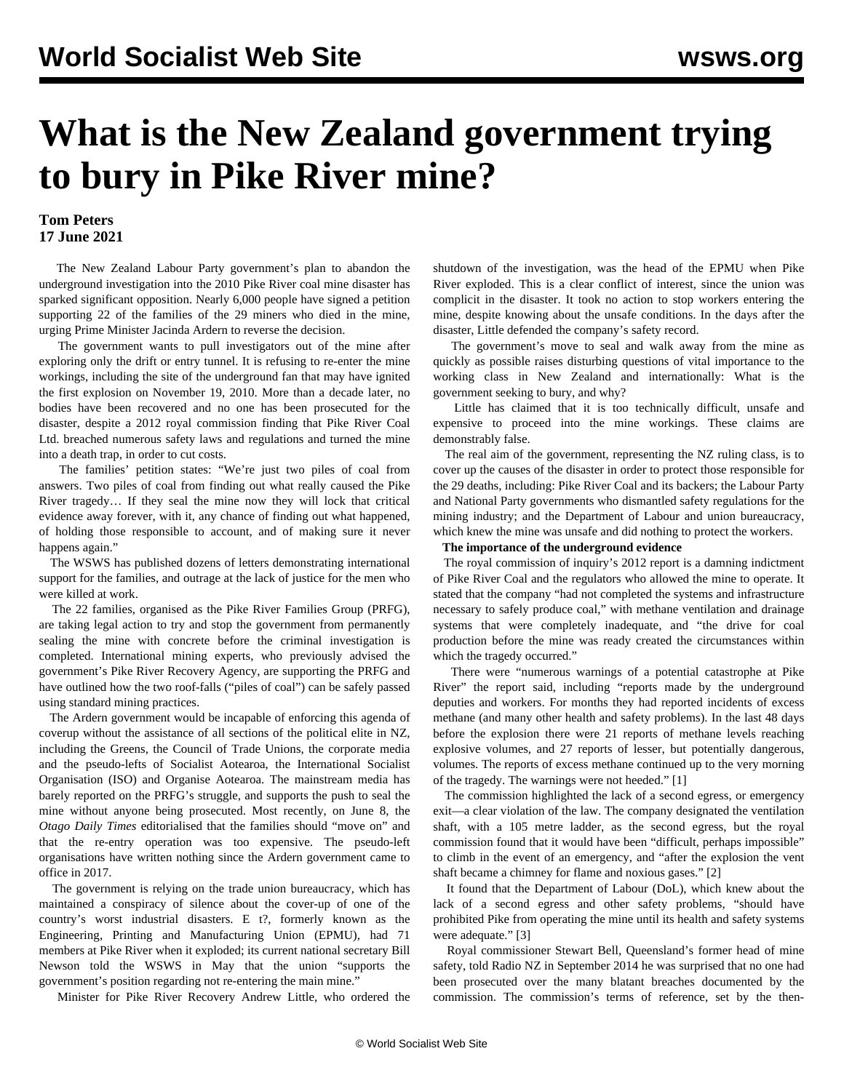# **What is the New Zealand government trying to bury in Pike River mine?**

### **Tom Peters 17 June 2021**

 The New Zealand Labour Party government's plan to abandon the underground investigation into the 2010 Pike River coal mine disaster has sparked significant [opposition](/en/articles/2021/06/07/pike-j07.html). Nearly 6,000 people have signed a petition supporting 22 of the families of the 29 miners who died in the mine, urging Prime Minister Jacinda Ardern to reverse the decision.

 The government wants to pull investigators out of the mine after exploring only the drift or entry tunnel. It is refusing to re-enter the mine workings, including the site of the underground fan that may have ignited the first explosion on November 19, 2010. More than a decade later, no bodies have been recovered and no one has been prosecuted for the disaster, despite a 2012 royal commission finding that Pike River Coal Ltd. breached numerous safety laws and regulations and turned the mine into a death trap, in order to cut costs.

 The families' [petition](https://www.change.org/p/prime-minister-help-stop-critical-evidence-in-pike-river-mine-from-being-locked-away-for-ever) states: "We're just two piles of coal from answers. Two piles of coal from finding out what really caused the Pike River tragedy… If they seal the mine now they will lock that critical evidence away forever, with it, any chance of finding out what happened, of holding those responsible to account, and of making sure it never happens again."

 The WSWS has published dozens of [letters](/en/articles/2021/06/09/pike-j09.html) demonstrating international support for the families, and outrage at the lack of justice for the men who were killed at work.

 The 22 families, organised as the Pike River Families Group (PRFG), are taking legal action to try and stop the government from permanently sealing the mine with concrete before the criminal investigation is completed. International mining experts, who previously advised the government's Pike River Recovery Agency, are supporting the PRFG and have outlined how the two roof-falls ("piles of coal") can be safely passed using standard mining practices.

 The Ardern government would be incapable of enforcing this agenda of coverup without the assistance of all sections of the political elite in NZ, including the Greens, the Council of Trade Unions, the corporate media and the pseudo-lefts of Socialist Aotearoa, the International Socialist Organisation (ISO) and Organise Aotearoa. The mainstream media has barely reported on the PRFG's struggle, and [supports](/en/articles/2021/06/02/pike-j02.html) the push to seal the mine without anyone being prosecuted. Most recently, on June 8, the *Otago Daily Times* editorialised that the families should "move on" and that the re-entry operation was too expensive. The pseudo-left organisations have written nothing since the Ardern government came to office in 2017.

 The government is relying on the trade union bureaucracy, which has maintained a conspiracy of silence about the cover-up of one of the country's worst industrial disasters. E t?, formerly known as the Engineering, Printing and Manufacturing Union (EPMU), had 71 members at Pike River when it exploded; its current national secretary Bill Newson told the WSWS in May that the union "supports the government's position regarding not re-entering the main mine."

Minister for Pike River Recovery Andrew Little, who ordered the

shutdown of the investigation, was the head of the EPMU when Pike River exploded. This is a clear conflict of interest, since the union was complicit in the disaster. It took no action to stop workers entering the mine, despite knowing about the unsafe conditions. In the days after the disaster, Little defended the company's safety record.

 The government's move to seal and walk away from the mine as quickly as possible raises disturbing questions of vital importance to the working class in New Zealand and internationally: What is the government seeking to bury, and why?

 Little has claimed that it is too technically difficult, unsafe and expensive to proceed into the mine workings. These claims are demonstrably false.

 The real aim of the government, representing the NZ ruling class, is to cover up the causes of the disaster in order to protect those responsible for the 29 deaths, including: Pike River Coal and its backers; the Labour Party and National Party governments who dismantled safety regulations for the mining industry; and the Department of Labour and union bureaucracy, which knew the mine was unsafe and did nothing to protect the workers.

#### **The importance of the underground evidence**

 The royal commission of inquiry's 2012 report is a damning indictment of Pike River Coal and the regulators who allowed the mine to operate. It stated that the company "had not completed the systems and infrastructure necessary to safely produce coal," with methane ventilation and drainage systems that were completely inadequate, and "the drive for coal production before the mine was ready created the circumstances within which the tragedy occurred."

 There were "numerous warnings of a potential catastrophe at Pike River" the report said, including "reports made by the underground deputies and workers. For months they had reported incidents of excess methane (and many other health and safety problems). In the last 48 days before the explosion there were 21 reports of methane levels reaching explosive volumes, and 27 reports of lesser, but potentially dangerous, volumes. The reports of excess methane continued up to the very morning of the tragedy. The warnings were not heeded." [1]

 The commission highlighted the lack of a second egress, or emergency exit—a clear violation of the law. The company designated the ventilation shaft, with a 105 metre ladder, as the second egress, but the royal commission found that it would have been "difficult, perhaps impossible" to climb in the event of an emergency, and "after the explosion the vent shaft became a chimney for flame and noxious gases." [2]

 It found that the Department of Labour (DoL), which knew about the lack of a second egress and other safety problems, "should have prohibited Pike from operating the mine until its health and safety systems were adequate." [3]

 Royal commissioner Stewart Bell, Queensland's former head of mine safety, told Radio NZ in September 2014 he was surprised that no one had been prosecuted over the many blatant breaches documented by the commission. The commission's terms of reference, set by the then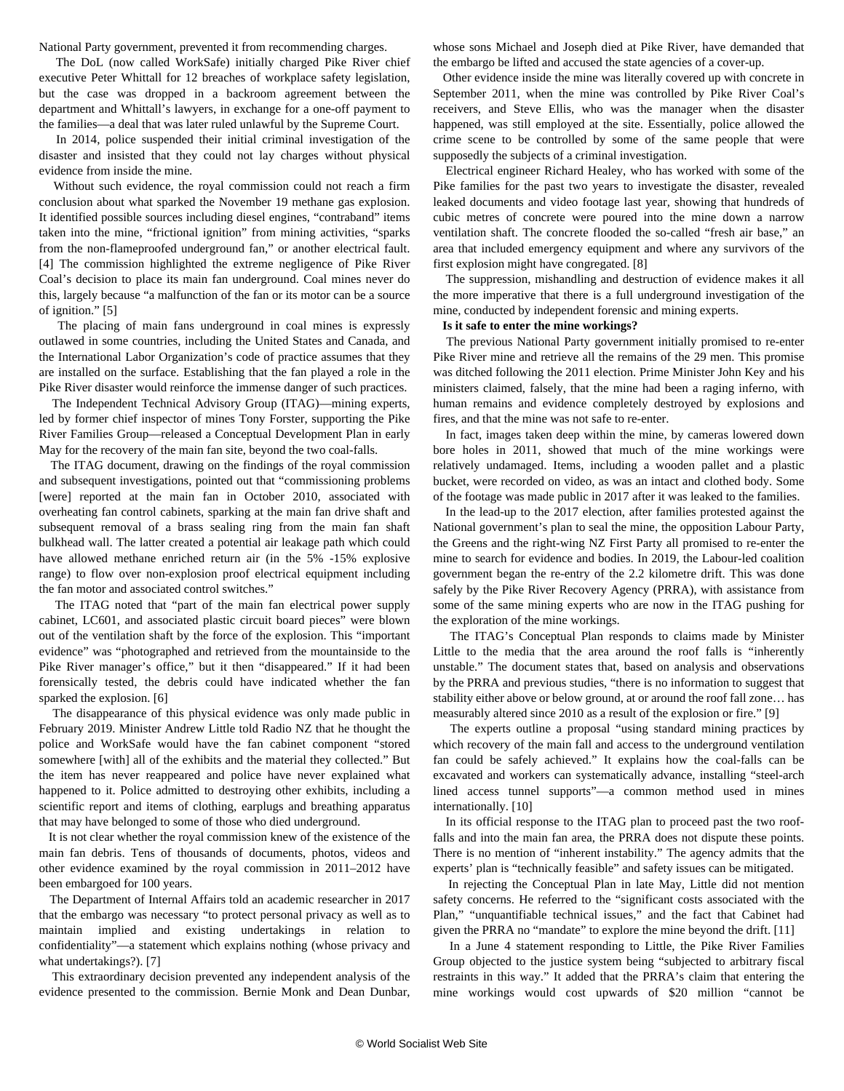National Party government, prevented it from recommending charges.

 The DoL (now called WorkSafe) initially charged Pike River chief executive Peter Whittall for 12 breaches of workplace safety legislation, but the case was dropped in a backroom agreement between the department and Whittall's lawyers, in exchange for a one-off payment to the families—a deal that was later ruled unlawful by the Supreme Court.

 In 2014, police suspended their initial criminal investigation of the disaster and insisted that they could not lay charges without physical evidence from inside the mine.

 Without such evidence, the royal commission could not reach a firm conclusion about what sparked the November 19 methane gas explosion. It identified possible sources including diesel engines, "contraband" items taken into the mine, "frictional ignition" from mining activities, "sparks from the non-flameproofed underground fan," or another electrical fault. [4] The commission highlighted the extreme negligence of Pike River Coal's decision to place its main fan underground. Coal mines never do this, largely because "a malfunction of the fan or its motor can be a source of ignition." [5]

 The placing of main fans underground in coal mines is expressly outlawed in some countries, including the United States and Canada, and the International Labor Organization's code of practice assumes that they are installed on the surface. Establishing that the fan played a role in the Pike River disaster would reinforce the immense danger of such practices.

 The Independent Technical Advisory Group (ITAG)—mining experts, led by former chief inspector of mines Tony Forster, supporting the Pike River Families Group—released a [Conceptual Development Plan](https://img.scoop.co.nz/media/pdfs/2105/Pike_River_Familes_Main_Fan_Site_Recovery_Plan__May_2021.pdf) in early May for the recovery of the main fan site, beyond the two coal-falls.

 The ITAG document, drawing on the findings of the royal commission and subsequent investigations, pointed out that "commissioning problems [were] reported at the main fan in October 2010, associated with overheating fan control cabinets, sparking at the main fan drive shaft and subsequent removal of a brass sealing ring from the main fan shaft bulkhead wall. The latter created a potential air leakage path which could have allowed methane enriched return air (in the 5% -15% explosive range) to flow over non-explosion proof electrical equipment including the fan motor and associated control switches."

 The ITAG noted that "part of the main fan electrical power supply cabinet, LC601, and associated plastic circuit board pieces" were blown out of the ventilation shaft by the force of the explosion. This "important evidence" was "photographed and retrieved from the mountainside to the Pike River manager's office," but it then "disappeared." If it had been forensically tested, the debris could have indicated whether the fan sparked the explosion. [6]

 The disappearance of this physical evidence was only made public in February [2019.](/en/articles/2019/03/13/pike-m13.html) Minister Andrew Little told Radio NZ that he thought the police and WorkSafe would have the fan cabinet component "stored somewhere [with] all of the exhibits and the material they collected." But the item has never reappeared and police have never explained what happened to it. Police admitted to [destroying](/en/articles/2019/09/13/pike-s13.html) other exhibits, including a scientific report and items of clothing, earplugs and breathing apparatus that may have belonged to some of those who died underground.

 It is not clear whether the royal commission knew of the existence of the main fan debris. Tens of thousands of documents, photos, videos and other evidence examined by the royal commission in 2011–2012 have been embargoed for 100 years.

 The Department of Internal Affairs told an academic researcher in 2017 that the embargo was necessary "to protect personal privacy as well as to maintain implied and existing undertakings in relation to confidentiality"—a statement which explains nothing (whose privacy and what undertakings?). [7]

 This extraordinary decision prevented any independent analysis of the evidence presented to the commission. Bernie Monk and Dean Dunbar,

whose sons Michael and Joseph died at Pike River, have demanded that the embargo be lifted and accused the state agencies of a cover-up.

 Other evidence inside the mine was literally covered up with concrete in September 2011, when the mine was controlled by Pike River Coal's receivers, and Steve Ellis, who was the manager when the disaster happened, was still employed at the site. Essentially, police allowed the crime scene to be controlled by some of the same people that were supposedly the subjects of a criminal investigation.

 Electrical engineer Richard Healey, who has worked with some of the Pike families for the past two years to investigate the disaster, revealed leaked documents and video footage last year, showing that hundreds of cubic metres of concrete were poured into the mine down a narrow ventilation shaft. The concrete flooded the so-called "fresh air base," an area that included emergency equipment and where any survivors of the first explosion might have congregated. [8]

 The suppression, mishandling and destruction of evidence makes it all the more imperative that there is a full underground investigation of the mine, conducted by independent forensic and mining experts.

#### **Is it safe to enter the mine workings?**

 The previous National Party government initially promised to re-enter Pike River mine and retrieve all the remains of the 29 men. This promise was ditched following the 2011 election. Prime Minister John Key and his ministers claimed, falsely, that the mine had been a raging inferno, with human remains and evidence completely destroyed by explosions and fires, and that the mine was not safe to re-enter.

 In fact, images taken deep within the mine, by cameras lowered down bore holes in 2011, showed that much of the mine workings were relatively undamaged. Items, including a wooden pallet and a plastic bucket, were recorded on video, as was an intact and clothed body. Some of the footage was made public in [2017](/en/articles/2017/06/29/pike-j29.html) after it was leaked to the families.

 In the lead-up to the 2017 election, after families protested against the National government's plan to seal the mine, the opposition Labour Party, the Greens and the right-wing NZ First Party all promised to re-enter the mine to search for evidence and bodies. In 2019, the Labour-led coalition government began the re-entry of the 2.2 kilometre drift. This was done safely by the Pike River Recovery Agency (PRRA), with assistance from some of the same mining experts who are now in the ITAG pushing for the exploration of the mine workings.

 The ITAG's Conceptual Plan responds to claims made by Minister Little to the media that the area around the roof falls is "inherently unstable." The document states that, based on analysis and observations by the PRRA and previous studies, "there is no information to suggest that stability either above or below ground, at or around the roof fall zone… has measurably altered since 2010 as a result of the explosion or fire." [9]

 The experts outline a proposal "using standard mining practices by which recovery of the main fall and access to the underground ventilation fan could be safely achieved." It explains how the coal-falls can be excavated and workers can systematically advance, installing "steel-arch lined access tunnel supports"—a common method used in mines internationally. [10]

 In its official response to the ITAG plan to proceed past the two rooffalls and into the main fan area, the PRRA does not dispute these points. There is no mention of "inherent instability." The agency admits that the experts' plan is "technically feasible" and safety issues can be mitigated.

 In rejecting the Conceptual Plan in late May, Little did not mention safety concerns. He referred to the "significant costs associated with the Plan," "unquantifiable technical issues," and the fact that Cabinet had given the PRRA no "mandate" to explore the mine beyond the drift. [11]

 In a June 4 [statement](https://theofficialpike29.site/news) responding to Little, the Pike River Families Group objected to the justice system being "subjected to arbitrary fiscal restraints in this way." It added that the PRRA's claim that entering the mine workings would cost upwards of \$20 million "cannot be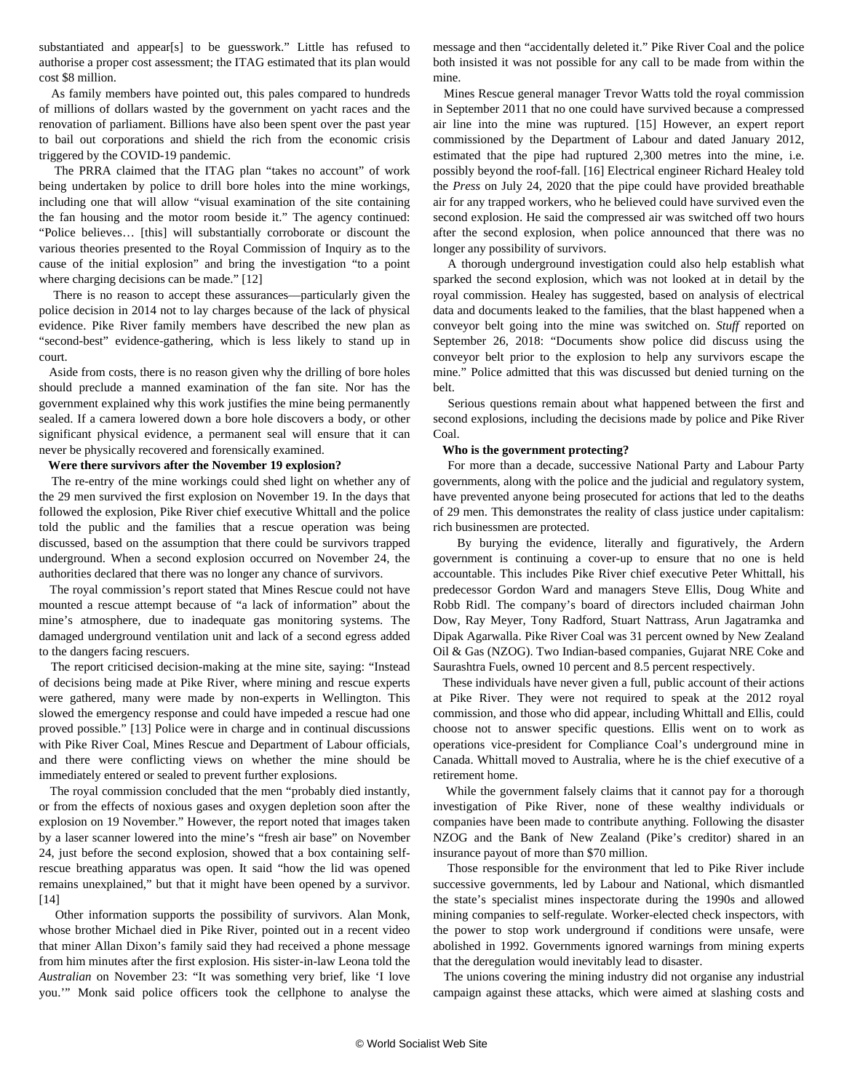substantiated and appear[s] to be guesswork." Little has refused to authorise a proper cost assessment; the ITAG estimated that its plan would cost \$8 million.

 As family members have pointed out, this pales compared to hundreds of millions of dollars wasted by the government on yacht races and the renovation of parliament. Billions have also been spent over the past year to bail out corporations and shield the rich from the economic crisis triggered by the COVID-19 pandemic.

 The PRRA claimed that the ITAG plan "takes no account" of work being undertaken by police to drill bore holes into the mine workings, including one that will allow "visual examination of the site containing the fan housing and the motor room beside it." The agency continued: "Police believes… [this] will substantially corroborate or discount the various theories presented to the Royal Commission of Inquiry as to the cause of the initial explosion" and bring the investigation "to a point where charging decisions can be made." [12]

 There is no reason to accept these assurances—particularly given the police decision in 2014 not to lay charges because of the lack of physical evidence. Pike River family members have described the new plan as "second-best" evidence-gathering, which is less likely to stand up in court.

 Aside from costs, there is no reason given why the drilling of bore holes should preclude a manned examination of the fan site. Nor has the government explained why this work justifies the mine being permanently sealed. If a camera lowered down a bore hole discovers a body, or other significant physical evidence, a permanent seal will ensure that it can never be physically recovered and forensically examined.

#### **Were there survivors after the November 19 explosion?**

 The re-entry of the mine workings could shed light on whether any of the 29 men survived the first explosion on November 19. In the days that followed the explosion, Pike River chief executive Whittall and the police told the public and the families that a rescue operation was being discussed, based on the assumption that there could be survivors trapped underground. When a second explosion occurred on November 24, the authorities declared that there was no longer any chance of survivors.

 The royal commission's report stated that Mines Rescue could not have mounted a rescue attempt because of "a lack of information" about the mine's atmosphere, due to inadequate gas monitoring systems. The damaged underground ventilation unit and lack of a second egress added to the dangers facing rescuers.

 The report criticised decision-making at the mine site, saying: "Instead of decisions being made at Pike River, where mining and rescue experts were gathered, many were made by non-experts in Wellington. This slowed the emergency response and could have impeded a rescue had one proved possible." [13] Police were in charge and in continual discussions with Pike River Coal, Mines Rescue and Department of Labour officials, and there were conflicting views on whether the mine should be immediately entered or sealed to prevent further explosions.

 The royal commission concluded that the men "probably died instantly, or from the effects of noxious gases and oxygen depletion soon after the explosion on 19 November." However, the report noted that images taken by a laser scanner lowered into the mine's "fresh air base" on November 24, just before the second explosion, showed that a box containing selfrescue breathing apparatus was open. It said "how the lid was opened remains unexplained," but that it might have been opened by a survivor. [14]

 Other information supports the possibility of survivors. Alan Monk, whose brother Michael died in Pike River, pointed out in a recent [video](https://www.facebook.com/monkalan/videos/10159615510407090) that miner Allan Dixon's family said they had received a phone message from him minutes after the first explosion. His sister-in-law Leona told the *Australian* on November 23: "It was something very brief, like 'I love you.'" Monk said police officers took the cellphone to analyse the message and then "accidentally deleted it." Pike River Coal and the police both insisted it was not possible for any call to be made from within the mine.

 Mines Rescue general manager Trevor Watts told the royal commission in September 2011 that no one could have survived because a compressed air line into the mine was ruptured. [15] However, an expert report commissioned by the Department of Labour and dated January 2012, estimated that the pipe had ruptured 2,300 metres into the mine, i.e. possibly beyond the roof-fall. [16] Electrical engineer Richard Healey told the *Press* on July 24, 2020 that the pipe could have provided breathable air for any trapped workers, who he believed could have survived even the second explosion. He said the compressed air was switched off two hours after the second explosion, when police announced that there was no longer any possibility of survivors.

 A thorough underground investigation could also help establish what sparked the second explosion, which was not looked at in detail by the royal commission. Healey has suggested, based on analysis of electrical data and documents leaked to the families, that the blast happened when a conveyor belt going into the mine was switched on. *Stuff* reported on September 26, 2018: "Documents show police did discuss using the conveyor belt prior to the explosion to help any survivors escape the mine." Police admitted that this was discussed but denied turning on the belt.

 Serious questions remain about what happened between the first and second explosions, including the decisions made by police and Pike River Coal.

#### **Who is the government protecting?**

 For more than a decade, successive National Party and Labour Party governments, along with the police and the judicial and regulatory system, have prevented anyone being prosecuted for actions that led to the deaths of 29 men. This demonstrates the reality of class justice under capitalism: rich businessmen are protected.

 By burying the evidence, literally and figuratively, the Ardern government is continuing a cover-up to ensure that no one is held accountable. This includes Pike River chief executive Peter Whittall, his predecessor Gordon Ward and managers Steve Ellis, Doug White and Robb Ridl. The company's board of directors included chairman John Dow, Ray Meyer, Tony Radford, Stuart Nattrass, Arun Jagatramka and Dipak Agarwalla. Pike River Coal was 31 percent owned by New Zealand Oil & Gas (NZOG). Two Indian-based companies, Gujarat NRE Coke and Saurashtra Fuels, owned 10 percent and 8.5 percent respectively.

 These individuals have never given a full, public account of their actions at Pike River. They were not required to speak at the 2012 royal commission, and those who did appear, including Whittall and Ellis, could choose not to answer specific questions. Ellis went on to work as operations vice-president for Compliance Coal's underground mine in Canada. Whittall moved to Australia, where he is the chief executive of a retirement home.

 While the government falsely claims that it cannot pay for a thorough investigation of Pike River, none of these wealthy individuals or companies have been made to contribute anything. Following the disaster NZOG and the Bank of New Zealand (Pike's creditor) shared in an insurance payout of more than \$70 million.

 Those responsible for the environment that led to Pike River include successive governments, led by Labour and National, which dismantled the state's specialist mines inspectorate during the 1990s and allowed mining companies to self-regulate. Worker-elected check inspectors, with the power to stop work underground if conditions were unsafe, were abolished in 1992. Governments ignored warnings from mining experts that the deregulation would inevitably lead to disaster.

 The unions covering the mining industry did not organise any industrial campaign against these attacks, which were aimed at slashing costs and